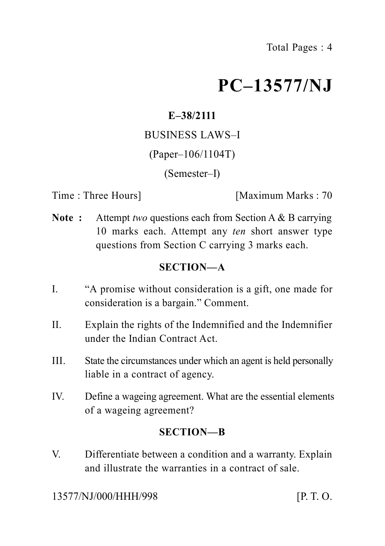# **PC–13577/NJ**

# **E–38/2111**

## BUSINESS LAWS–I

# (Paper–106/1104T)

(Semester–I)

Time : Three Hours **I** [Maximum Marks : 70]

**Note :** Attempt *two* questions each from Section A & B carrying 10 marks each. Attempt any *ten* short answer type questions from Section C carrying 3 marks each.

# **SECTION—A**

- I. "A promise without consideration is a gift, one made for consideration is a bargain." Comment.
- II. Explain the rights of the Indemnified and the Indemnifier under the Indian Contract Act.
- III. State the circumstances under which an agent is held personally liable in a contract of agency.
- IV. Define a wageing agreement. What are the essential elements of a wageing agreement?

# **SECTION—B**

V. Differentiate between a condition and a warranty. Explain and illustrate the warranties in a contract of sale.

13577/NJ/000/HHH/998 [P. T. O.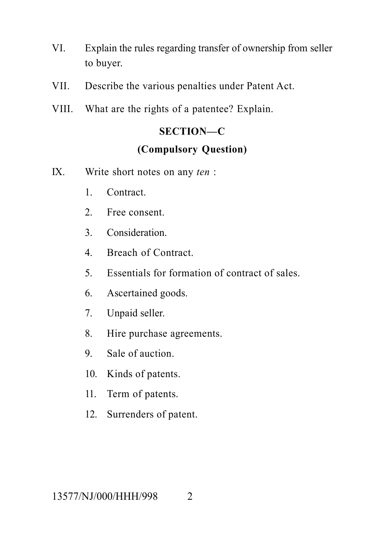- VI. Explain the rules regarding transfer of ownership from seller to buyer.
- VII. Describe the various penalties under Patent Act.
- VIII. What are the rights of a patentee? Explain.

# **SECTION—C (Compulsory Question)**

- IX. Write short notes on any *ten* :
	- 1. Contract.
	- 2. Free consent.
	- 3. Consideration.
	- 4. Breach of Contract.
	- 5. Essentials for formation of contract of sales.
	- 6. Ascertained goods.
	- 7. Unpaid seller.
	- 8. Hire purchase agreements.
	- 9. Sale of auction.
	- 10. Kinds of patents.
	- 11. Term of patents.
	- 12. Surrenders of patent.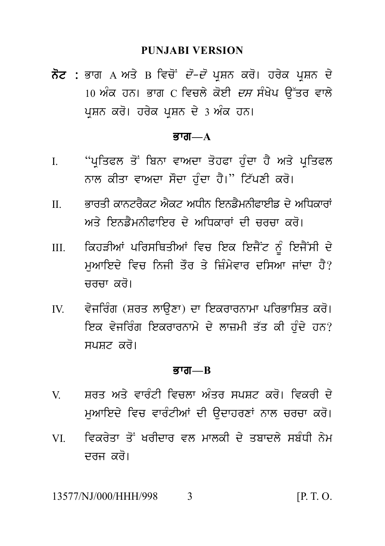#### **PUNJABI VERSION**

PUNJABI VERSION<br>ਨੋਟ : ਭਾਗ A ਅਤੇ B ਵਿਚੋਂ *ਦੋ–ਦੋ* ਪ੍ਰਸ਼ਨ ਕਰੋ। ਹਰੇਕ ਪ੍ਰਸ਼ਨ ਦੇ<br>10 ਅੰਕ ਹਨ। ਭਾਗ C ਵਿਚਲੇ ਕੋਈ *ਦਸ* ਸੰਖੇਪ ਉੱਤਰ ਵਾਲੇ<br>ਪੁਸ਼ਨ ਕਰੋ। ਹਰੇਕ ਪੁਸ਼ਨ ਦੇ 3 ਅੰਕ ਹਨ। PUNJABI VERSION<br>ਭਾਗ A ਅਤੇ B ਵਿਚੋਂ *ਦੋ–ਦੋ* ਪ੍ਰਸ਼ਨ ਕਰੋ। ਹਰੇਕ ਪ੍ਰਸ਼ਨ ਦੇ<br>10 ਅੰਕ ਹਨ। ਭਾਗ C ਵਿਚਲੇ ਕੋਈ *ਦਸ* ਸੰਖੇਪ ਉੱਤਰ ਵਾਲੇ<br>ਪ੍ਰਸ਼ਨ ਕਰੋ। ਹਰੇਕ ਪ੍ਰਸ਼ਨ ਦੇ 3 ਅੰਕ ਹਨ। ਨੋਟ : ਭਾਗ A ਅਤੇ B ਵਿਚੋਂ *ਦੋ–ਦੋ* ਪ੍ਰਸ਼ਨ ਕਰੋ। ਹਰੇਕ ਪ੍ਰਸ਼ਨ ਦੇ<br>10 ਅੰਕ ਹਨ। ਭਾਗ C ਵਿਚਲੇ ਕੋਈ *ਦਸ* ਸੰਖੇਪ ਉੱਤਰ ਵਾਲੇ<br>ਪੁਸ਼ਨ ਕਰੋ। ਹਰੇਕ ਪੁਸ਼ਨ ਦੇ 3 ਅੰਕ ਹਨ।

#### $\overline{g}$ ग्ता— $A$

- I. "p RiqPl q oN ibnw vwAdw q ohPw h u Mdw h Y Aq y p RiqPl ''ਪ੍ਰਤਿਫਲ ਤੋਂ ਬਿਨਾ ਵਾਅਦਾ ਤੋਹਫਾ ਹੁੰਦਾ ਹੈ ਅਤੇ ਪ੍ਰਤਿਫਲ<br>ਨਾਲ ਕੀਤਾ ਵਾਅਦਾ ਸੌਦਾ ਹੁੰਦਾ ਹੈ।'' ਟਿੱਪਣੀ ਕਰੋ।<br>ਭਾਰਤੀ ਕਾਨਟਰੈਕਟ ਐਕਟ ਅਧੀਨ ਇਨਡੈਮਨੀਫਾਈਡ ਦੇ ਅਧਿਕਾਰਾਂ<br>ਅਤੇ ਇਨਡੈਮਨੀਫਾਇਰ ਦੇ ਅਧਿਕਾਰਾਂ ਦੀ ਜਰਜ਼ਾ ਕਰੋ। I. "ਪ੍ਰਤਿਫਲ ਤੋਂ ਬਿਨਾ ਵਾਅਦਾ ਤੋਹਫਾ ਹੁੰਦਾ ਹੈ ਅਤੇ ਪ੍ਰਤਿਫਲ<br>ਨਾਲ ਕੀਤਾ ਵਾਅਦਾ ਸੌਦਾ ਹੁੰਦਾ ਹੈ।" ਟਿੱਪਣੀ ਕਰੋ।<br>II. ਭਾਰਤੀ ਕਾਨਟਰੈਕਟ ਐਕਟ ਅਧੀਨ ਇਨਡੈਮਨੀਫਾਈਡ ਦੇ ਅਧਿਕਾਰਾਂ<br>ਅਤੇ ਇਨਡੈਮਨੀਫਾਇਰ ਦੇ ਅਧਿਕਾਰਾਂ ਦੀ ਚਰਚਾ ਕਰੋ।
- ਾ<sub>ਤ੍ਰਾਂ</sub>ਤਰਨਾਂ ਤਾਂ ਜ਼ਿਲਾ ਦਾ ਸੰਦਾ ਤੁਰੰਤਾ ਭੂੰਦਾ ਤਾਂ ਸੰਤਾ ਸ਼੍ਰੋਜ਼ਤਰਨਾਂ<br>ਨਾਲ ਕੀਤਾ ਵਾਅਦਾ ਸੌਂਦਾ ਹੁੰਦਾ ਹੈ।'' ਟਿੱਪਣੀ ਕਰੋ।<br>ਅਤੇ ਇਨਡੈਮਨੀਫਾਇਰ ਦੇ ਅਧਿਕਾਰਾਂ ਦੀ ਚਰਚਾ ਕਰੋ।<br>ਕਿਹੜੀਆਂ ਪਰਿਸਥਿਤੀਆਂ ਵਿਚ ਇਕ ਇਜੈਂਟ ਨੂੰ ਇਜੈਂਸੀ ਦੇ<br>ਕਿਹੜੀਆਂ ਪਰਿਸਥਿਤੀਆਂ ਵਿ
- II. ਭਾਰਤੀ ਕਾਨਟਰੈਕਟ ਐਕਟ ਅਧੀਨ ਇਨਡੈਮਨੀਫਾਈਡ ਦੇ ਅਧਿਕਾਰਾਂ<br>ਅਤੇ ਇਨਡੈਮਨੀਫਾਇਰ ਦੇ ਅਧਿਕਾਰਾਂ ਦੀ ਚਰਚਾ ਕਰੋ।<br>III. ਕਿਹੜੀਆਂ ਪਰਿਸਥਿਤੀਆਂ ਵਿਚ ਇਕ ਇਜੈਂਟ ਨੂੰ ਇਜੈਂਸੀ ਦੇ<br>ਮੁਆਇਦੇ ਵਿਚ ਨਿਜੀ ਤੌਰ ਤੇ ਜ਼ਿੰਮੇਵਾਰ ਦਸਿਆ ਜਾਂਦਾ ਹੈ?<br>ਜਰਚਾ ਕਰੋ। ਤਾਰਤ ਕਾਨਤਰਕਣ ਸਕਣ ਸਕਨ ਇਨਤਸਨਾਤਾਗਤਾ ਦਾ ਸਾਧਕਾਂ ਤੋਂ<br>ਅਤੇ ਇਨਡੈਮਨੀਫਾਇਰ ਦੇ ਅਧਿਕਾਰਾਂ ਦੀ ਚਰਚਾ ਕਰੋ।<br>ਕਿਹੜੀਆਂ ਪਰਿਸਥਿਤੀਆਂ ਵਿਚ ਇਕ ਇਜੈਂਟ ਨੂੰ ਇਜੈਂਸੀ ਦੇ<br>ਮੁਆਇਦੇ ਵਿਚ ਨਿਜੀ ਤੌਰ ਤੇ ਜ਼ਿੰਮੇਵਾਰ ਦਸਿਆ ਜਾਂਦਾ ਹੈ?<br>ਚਰਚਾ ਕਰੋ। ਕਿਹੜੀਆਂ ਪਰਿਸਥਿਤੀਆਂ ਵਿਚ ਇਕ ਇਜੈਂਟ ਨੂੰ ਇਜੈਂਸੀ ਦੇ<br>ਮੁਆਇਦੇ ਵਿਚ ਨਿਜੀ ਤੌਰ ਤੇ ਜ਼ਿੰਮੇਵਾਰ ਦਸਿਆ ਜਾਂਦਾ ਹੈ?<br>ਚਰਚਾ ਕਰੋ।<br>ਵੇਜਰਿੰਗ (ਸ਼ਰਤ ਲਾਉਣਾ) ਦਾ ਇਕਰਾਰਨਾਮਾ ਪਰਿਭਾਸ਼ਿਤ ਕਰੋ।<br>ਇਕ ਵੇਜਰਿੰਗ ਇਕਰਾਰਨਾਮੇ ਦੇ ਲਾਜ਼ਮੀ ਤੱਤ ਕੀ ਹੰਦੇ ਹਨ?
- II. ਪੁੱਤਰਕਾਨ ਜਾਂਤਸਾਹਤਾਨਾਂ ਵਿੱਚ ਇਕ ਦਿਸਦ ਦੂ ਦਿਸ਼ਾਸ ਦੇ<br>ਸੁਆਇਦੇ ਵਿਚ ਨਿਜੀ ਤੌਰ ਤੇ ਜ਼ਿੰਮੇਵਾਰ ਦਸਿਆ ਜਾਂਦਾ ਹੈ?<br>ਚਰਚਾ ਕਰੋ।<br>ਇਕ ਵੇਜਰਿੰਗ ਇਕਰਾਰਨਾਮੇ ਦੇ ਲਾਜ਼ਮੀ ਤੱਤ ਕੀ ਹੁੰਦੇ ਹਨ?<br>ਸੁਪਸਟ ਕਰੋ। ਹੁਆਂਦਿ ਜਾਂਦਾ ਜਨਜਾ ਤੁਹਾ ਤਾਜਸ਼ਾਦ ਹਾਦਸਾਨਾ ਜਾਂਦਾ ਹੈ:<br>ਚਰਚਾ ਕਰੋ।<br>ਵੇਜਰਿੰਗ (ਸ਼ਰਤ ਲਾਉਣਾ) ਦਾ ਇਕਰਾਰਨਾਮਾ ਪਰਿਭਾਸ਼ਿਤ ਕਰੋ।<br>ਇਕ ਵੇਜਰਿੰਗ ਇਕਰਾਰਨਾਮੇ ਦੇ ਲਾਜ਼ਮੀ ਤੱਤ ਕੀ ਹੁੰਦੇ ਹਨ?<br>ਸਪਸ਼ਟ ਕਰੋ। ਵੇਜਰਿੰਗ (ਸ਼ਰਤ ਲਾਉਣਾ) ਦਾ ਇਕਰਾਰਨਾਮਾ ਪਰਿਭਾਸ਼ਿਤ ਕਰੋ।<br>ਇਕ ਵੇਜਰਿੰਗ ਇਕਰਾਰਨਾਮੇ ਦੇ ਲਾਜ਼ਮੀ ਤੱਤ ਕੀ ਹੁੰਦੇ ਹਨ?<br>ਸਪਸਟ ਕਰੋ।

#### Bwg**—B**

- ਸਪਸ਼ਟ ਕਰੋ।<br>**ਭਾਗ—B<br>V. ਸ਼ਰਤ ਅਤੇ ਵਾ**ਰੰਟੀ ਵਿਚਲਾ ਅੰਤਰ ਸਪਸ਼ਟ ਕਰੋ। ਵਿਕਰੀ ਦੇ<br>ਮੁਆਇਦੇ ਵਿਚ ਵਾਰੰਟੀਆਂ ਦੀ ਉਦਾਹਰਣਾਂ ਨਾਲ ਚਰਚਾ ਕਰੋ। **ਭਾਗ—B<br>ਸ਼ਰਤ ਅਤੇ ਵਾ**ਰੰਟੀ ਵਿਚਲਾ ਅੰਤਰ ਸਪਸ਼ਟ ਕਰੋ। ਵਿਕਰੀ ਦੇ<br>ਮੁਆਇਦੇ ਵਿਚ ਵਾਰੰਟੀਆਂ ਦੀ ਉਦਾਹਰਣਾਂ ਨਾਲ ਚਰਚਾ ਕਰੋ।<br>ਵਿਕਰੇਤਾ ਤੋਂ ਖਰੀਦਾਰ ਵਲ ਮਾਲਕੀ ਦੇ ਤਬਾਦਲੇ ਸਬੰਧੀ ਨੇਮ V. ਸ਼ਰਤ ਅਤੇ ਵਾਰੰਟੀ ਵਿਚਲਾ ਅੰਤਰ ਸਪਸ਼ਟ ਕਰੋ। ਵਿਕਰੀ ਦੇ<br>ਮੁਆਇਦੇ ਵਿਚ ਵਾਰੰਟੀਆਂ ਦੀ ਉਦਾਹਰਣਾਂ ਨਾਲ ਚਰਚਾ ਕਰੋ।<br>VI. ਵਿਕਰੇਤਾ ਤੋਂ ਖਰੀਦਾਰ ਵਲ ਮਾਲਕੀ ਦੇ ਤਬਾਦਲੇ ਸਬੰਧੀ ਨੇਮ<br>ਦਰਜ ਕਰੋ। drj kr o[
- 

#### 13577/NJ/000/HHH/998 3 [P. T. O.